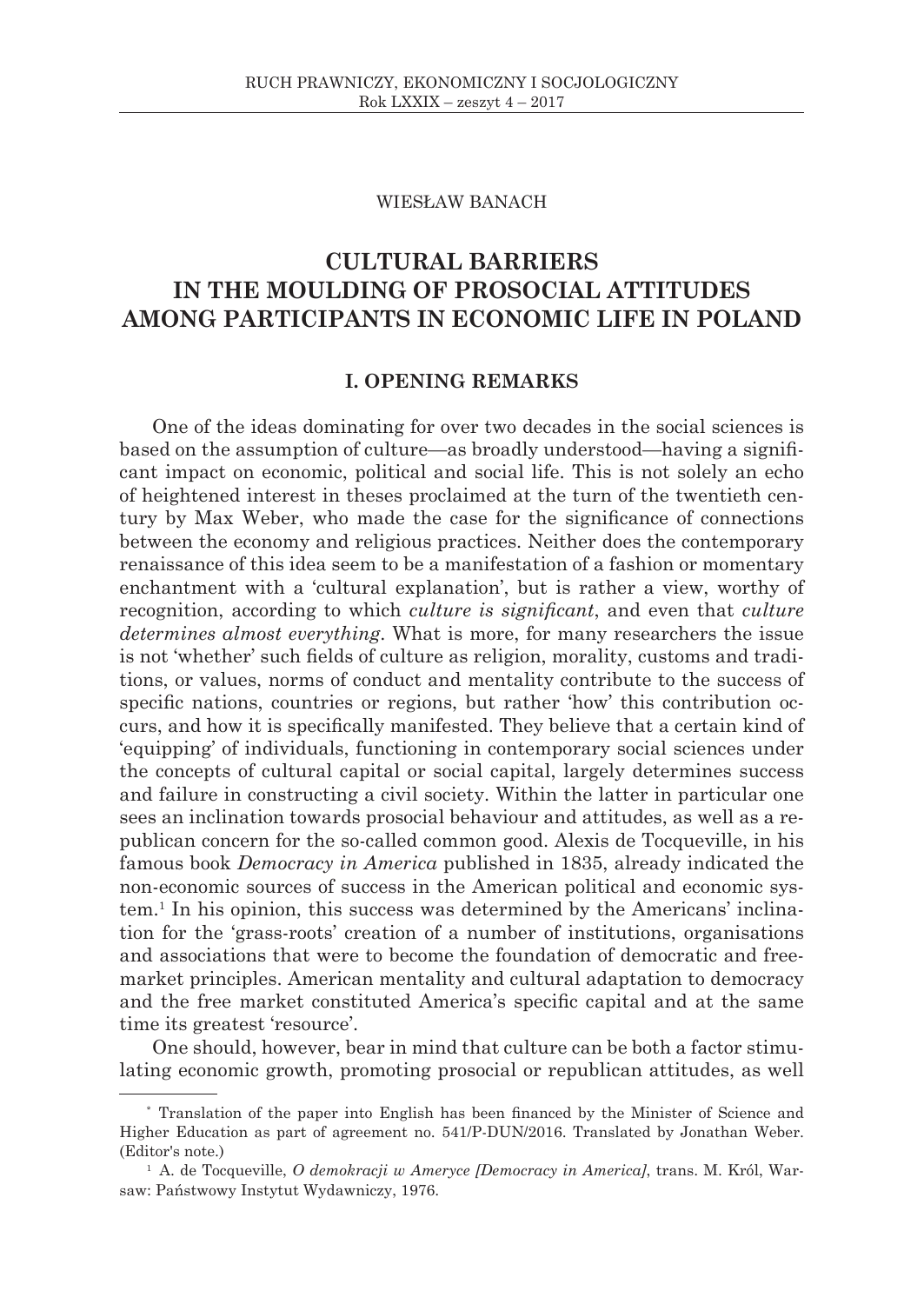### WIESŁAW BANACH

# **CULTURAL BARRIERS IN THE MOULDING OF PROSOCIAL ATTITUDES AMONG PARTICIPANTS IN ECONOMIC LIFE IN POLAND**

# **I. OPENING REMARKS**

One of the ideas dominating for over two decades in the social sciences is based on the assumption of culture—as broadly understood—having a significant impact on economic, political and social life. This is not solely an echo of heightened interest in theses proclaimed at the turn of the twentieth century by Max Weber, who made the case for the significance of connections between the economy and religious practices. Neither does the contemporary renaissance of this idea seem to be a manifestation of a fashion or momentary enchantment with a 'cultural explanation', but is rather a view, worthy of recognition, according to which *culture is significant*, and even that *culture determines almost everything*. What is more, for many researchers the issue is not 'whether' such fields of culture as religion, morality, customs and traditions, or values, norms of conduct and mentality contribute to the success of specific nations, countries or regions, but rather 'how' this contribution occurs, and how it is specifically manifested. They believe that a certain kind of 'equipping' of individuals, functioning in contemporary social sciences under the concepts of cultural capital or social capital, largely determines success and failure in constructing a civil society. Within the latter in particular one sees an inclination towards prosocial behaviour and attitudes, as well as a republican concern for the so-called common good. Alexis de Tocqueville, in his famous book *Democracy in America* published in 1835, already indicated the non-economic sources of success in the American political and economic system.1 In his opinion, this success was determined by the Americans' inclination for the 'grass-roots' creation of a number of institutions, organisations and associations that were to become the foundation of democratic and freemarket principles. American mentality and cultural adaptation to democracy and the free market constituted America's specific capital and at the same time its greatest 'resource'.

One should, however, bear in mind that culture can be both a factor stimulating economic growth, promoting prosocial or republican attitudes, as well

<sup>\*</sup> Translation of the paper into English has been financed by the Minister of Science and Higher Education as part of agreement no. 541/P-DUN/2016. Translated by Jonathan Weber. (Editor's note.)

<sup>1</sup> A. de Tocqueville, *O demokracji w Ameryce [Democracy in America]*, trans. M. Król, Warsaw: Państwowy Instytut Wydawniczy, 1976.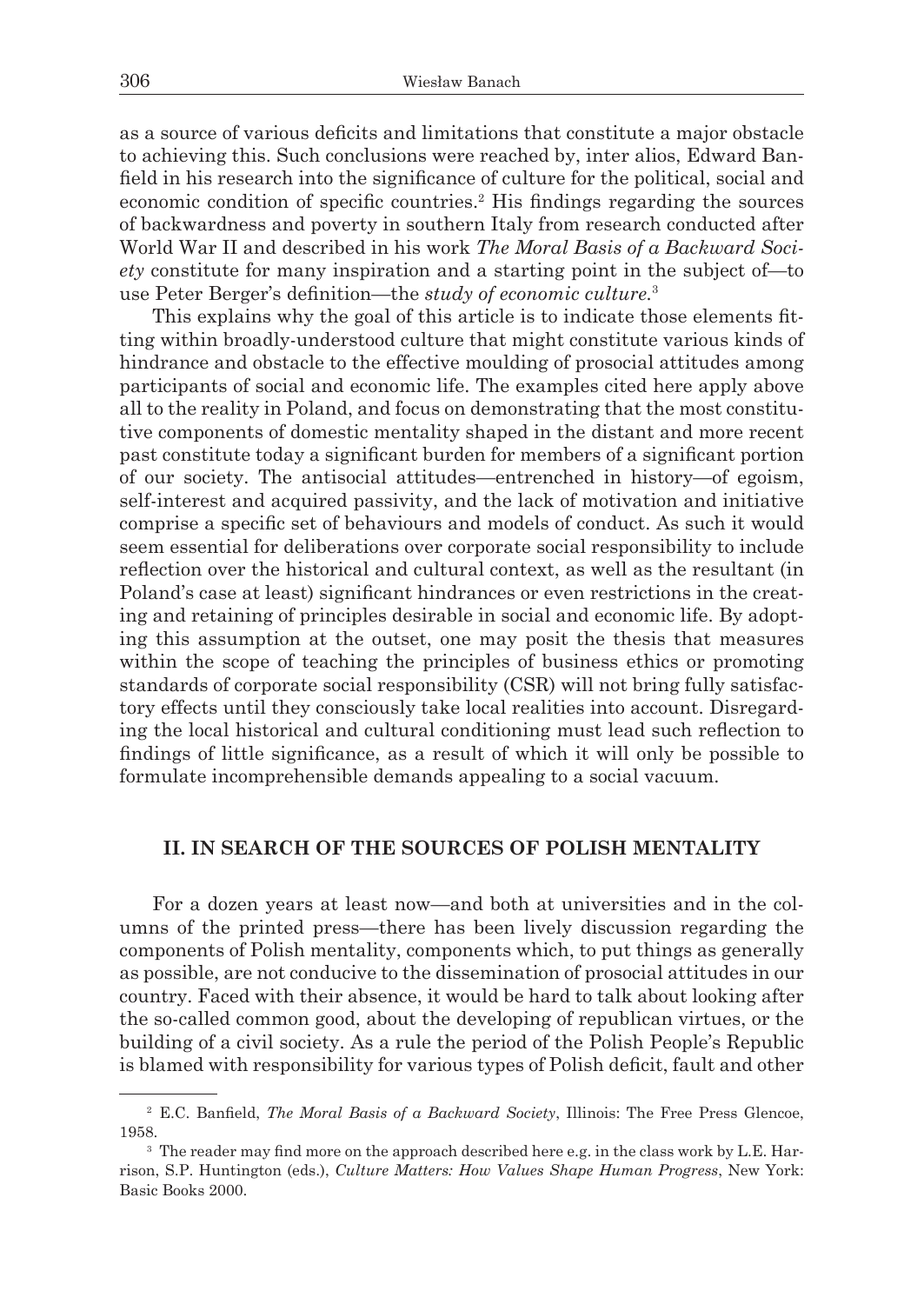as a source of various deficits and limitations that constitute a major obstacle to achieving this. Such conclusions were reached by, inter alios, Edward Banfield in his research into the significance of culture for the political, social and economic condition of specific countries.2 His findings regarding the sources of backwardness and poverty in southern Italy from research conducted after World War II and described in his work *The Moral Basis of a Backward Society* constitute for many inspiration and a starting point in the subject of—to use Peter Berger's definition—the *study of economic culture.*<sup>3</sup>

This explains why the goal of this article is to indicate those elements fitting within broadly-understood culture that might constitute various kinds of hindrance and obstacle to the effective moulding of prosocial attitudes among participants of social and economic life. The examples cited here apply above all to the reality in Poland, and focus on demonstrating that the most constitutive components of domestic mentality shaped in the distant and more recent past constitute today a significant burden for members of a significant portion of our society. The antisocial attitudes—entrenched in history—of egoism, self-interest and acquired passivity, and the lack of motivation and initiative comprise a specific set of behaviours and models of conduct. As such it would seem essential for deliberations over corporate social responsibility to include reflection over the historical and cultural context, as well as the resultant (in Poland's case at least) significant hindrances or even restrictions in the creating and retaining of principles desirable in social and economic life. By adopting this assumption at the outset, one may posit the thesis that measures within the scope of teaching the principles of business ethics or promoting standards of corporate social responsibility (CSR) will not bring fully satisfactory effects until they consciously take local realities into account. Disregarding the local historical and cultural conditioning must lead such reflection to findings of little significance, as a result of which it will only be possible to formulate incomprehensible demands appealing to a social vacuum.

## **II. IN SEARCH OF THE SOURCES OF POLISH MENTALITY**

For a dozen years at least now—and both at universities and in the columns of the printed press—there has been lively discussion regarding the components of Polish mentality, components which, to put things as generally as possible, are not conducive to the dissemination of prosocial attitudes in our country. Faced with their absence, it would be hard to talk about looking after the so-called common good, about the developing of republican virtues, or the building of a civil society. As a rule the period of the Polish People's Republic is blamed with responsibility for various types of Polish deficit, fault and other

<sup>2</sup> E.C. Banfield, *The Moral Basis of a Backward Society*, Illinois: The Free Press Glencoe, 1958. 3 The reader may find more on the approach described here e.g. in the class work by L.E. Har-

rison, S.P. Huntington (eds.), *Culture Matters: How Values Shape Human Progress*, New York: Basic Books 2000.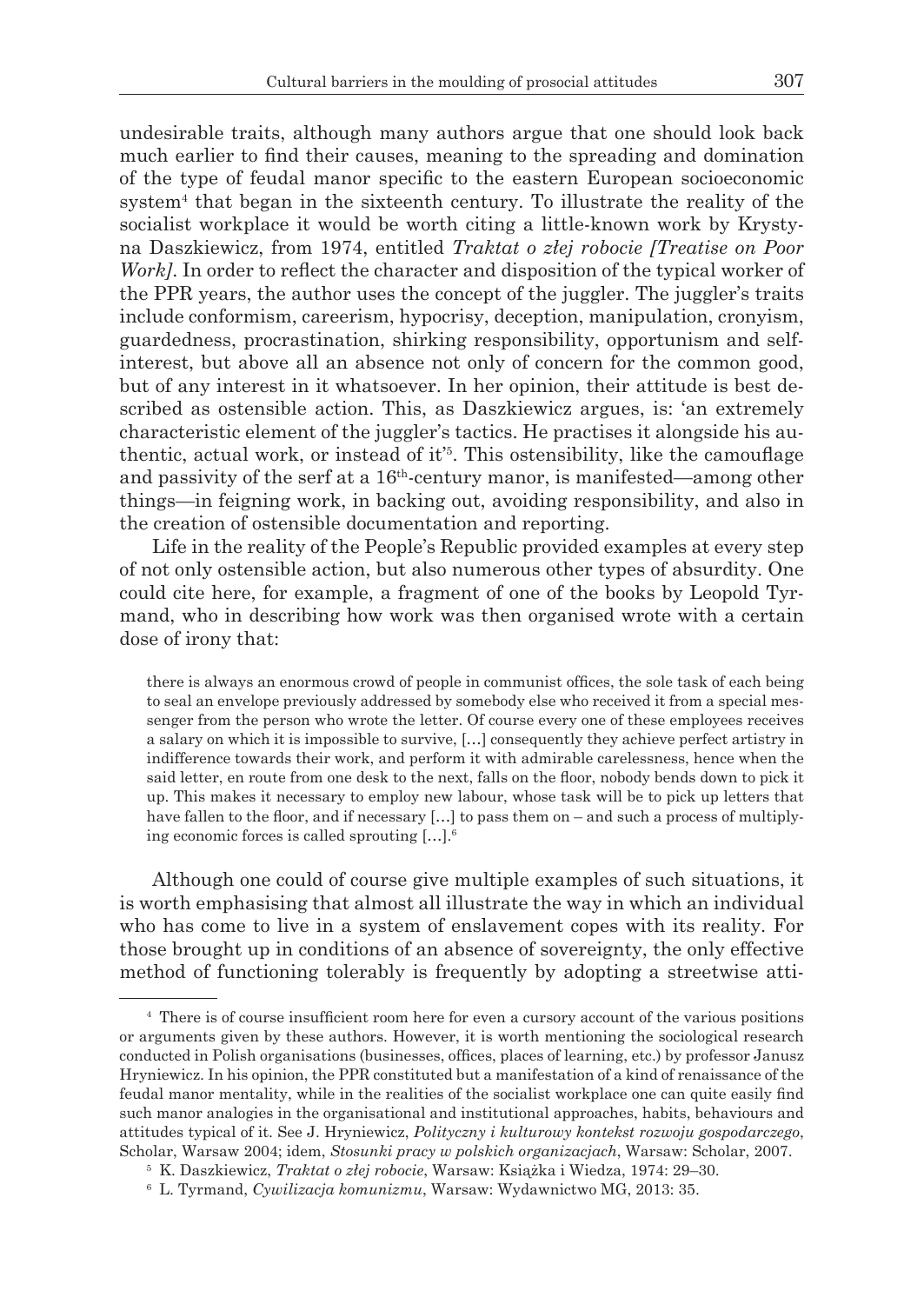undesirable traits, although many authors argue that one should look back much earlier to find their causes, meaning to the spreading and domination of the type of feudal manor specific to the eastern European socioeconomic system4 that began in the sixteenth century. To illustrate the reality of the socialist workplace it would be worth citing a little-known work by Krystyna Daszkiewicz, from 1974, entitled *Traktat o złej robocie [Treatise on Poor Work]*. In order to reflect the character and disposition of the typical worker of the PPR years, the author uses the concept of the juggler. The juggler's traits include conformism, careerism, hypocrisy, deception, manipulation, cronyism, guardedness, procrastination, shirking responsibility, opportunism and selfinterest, but above all an absence not only of concern for the common good, but of any interest in it whatsoever. In her opinion, their attitude is best described as ostensible action. This, as Daszkiewicz argues, is: 'an extremely characteristic element of the juggler's tactics. He practises it alongside his authentic, actual work, or instead of it'5 . This ostensibility, like the camouflage and passivity of the serf at a 16th-century manor, is manifested—among other things—in feigning work, in backing out, avoiding responsibility, and also in the creation of ostensible documentation and reporting.

Life in the reality of the People's Republic provided examples at every step of not only ostensible action, but also numerous other types of absurdity. One could cite here, for example, a fragment of one of the books by Leopold Tyrmand, who in describing how work was then organised wrote with a certain dose of irony that:

there is always an enormous crowd of people in communist offices, the sole task of each being to seal an envelope previously addressed by somebody else who received it from a special messenger from the person who wrote the letter. Of course every one of these employees receives a salary on which it is impossible to survive, […] consequently they achieve perfect artistry in indifference towards their work, and perform it with admirable carelessness, hence when the said letter, en route from one desk to the next, falls on the floor, nobody bends down to pick it up. This makes it necessary to employ new labour, whose task will be to pick up letters that have fallen to the floor, and if necessary [...] to pass them on – and such a process of multiplying economic forces is called sprouting […].6

Although one could of course give multiple examples of such situations, it is worth emphasising that almost all illustrate the way in which an individual who has come to live in a system of enslavement copes with its reality. For those brought up in conditions of an absence of sovereignty, the only effective method of functioning tolerably is frequently by adopting a streetwise atti-

<sup>4</sup> There is of course insufficient room here for even a cursory account of the various positions or arguments given by these authors. However, it is worth mentioning the sociological research conducted in Polish organisations (businesses, offices, places of learning, etc.) by professor Janusz Hryniewicz. In his opinion, the PPR constituted but a manifestation of a kind of renaissance of the feudal manor mentality, while in the realities of the socialist workplace one can quite easily find such manor analogies in the organisational and institutional approaches, habits, behaviours and attitudes typical of it. See J. Hryniewicz, *Polityczny i kulturowy kontekst rozwoju gospodarczego*, Scholar, Warsaw 2004; idem, *Stosunki pracy w polskich organizacjach*, Warsaw: Scholar, 2007.

<sup>5</sup> K. Daszkiewicz, *Traktat o złej robocie*, Warsaw: Książka i Wiedza, 1974: 29–30. 6 L. Tyrmand, *Cywilizacja komunizmu*, Warsaw: Wydawnictwo MG, 2013: 35.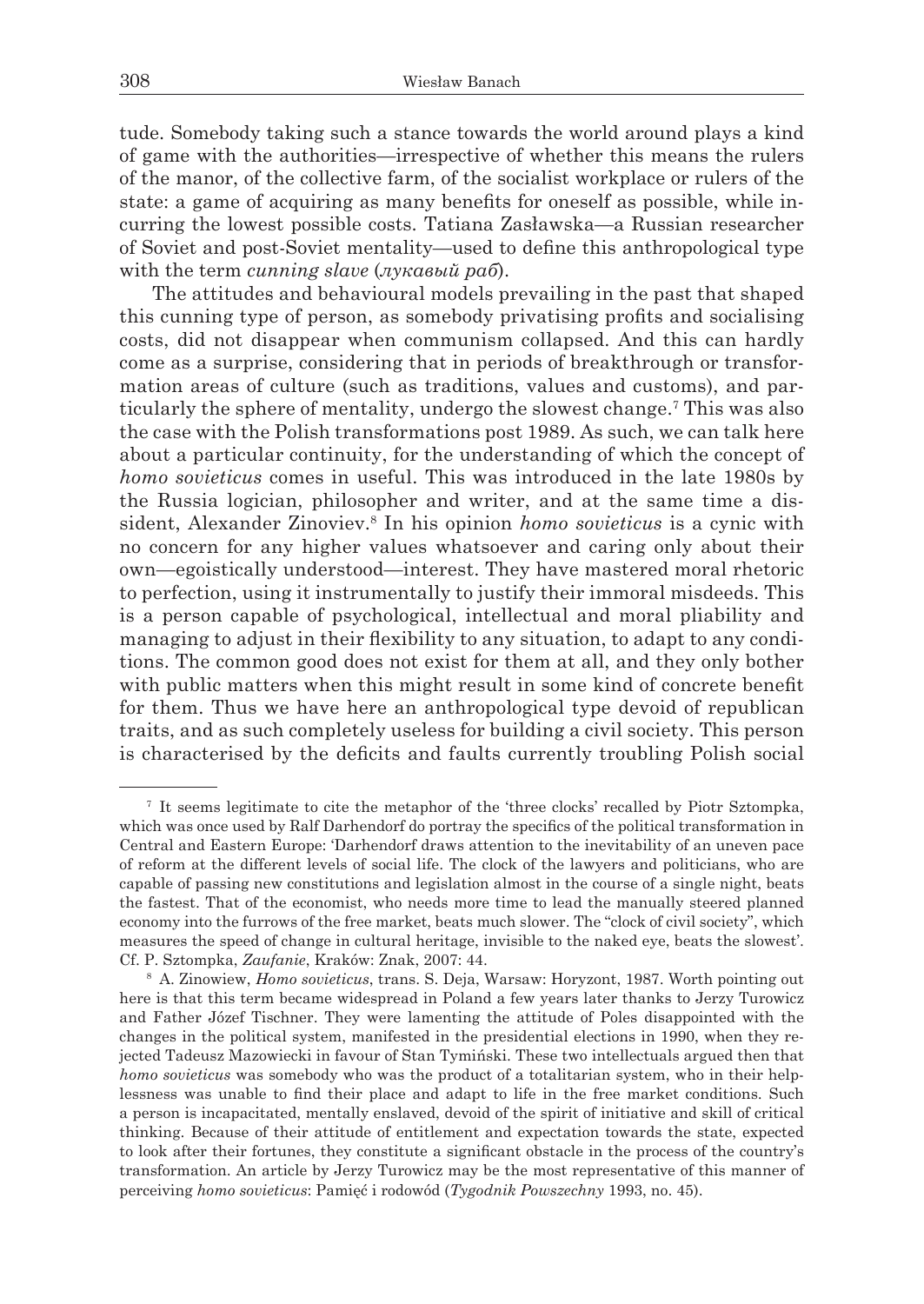tude. Somebody taking such a stance towards the world around plays a kind of game with the authorities—irrespective of whether this means the rulers of the manor, of the collective farm, of the socialist workplace or rulers of the state: a game of acquiring as many benefits for oneself as possible, while incurring the lowest possible costs. Tatiana Zasławska—a Russian researcher of Soviet and post-Soviet mentality—used to define this anthropological type with the term *cunning slave* (*лукавый раб*).

The attitudes and behavioural models prevailing in the past that shaped this cunning type of person, as somebody privatising profits and socialising costs, did not disappear when communism collapsed. And this can hardly come as a surprise, considering that in periods of breakthrough or transformation areas of culture (such as traditions, values and customs), and particularly the sphere of mentality, undergo the slowest change.7 This was also the case with the Polish transformations post 1989. As such, we can talk here about a particular continuity, for the understanding of which the concept of *homo sovieticus* comes in useful. This was introduced in the late 1980s by the Russia logician, philosopher and writer, and at the same time a dissident, Alexander Zinoviev.<sup>8</sup> In his opinion *homo sovieticus* is a cynic with no concern for any higher values whatsoever and caring only about their own—egoistically understood—interest. They have mastered moral rhetoric to perfection, using it instrumentally to justify their immoral misdeeds. This is a person capable of psychological, intellectual and moral pliability and managing to adjust in their flexibility to any situation, to adapt to any conditions. The common good does not exist for them at all, and they only bother with public matters when this might result in some kind of concrete benefit for them. Thus we have here an anthropological type devoid of republican traits, and as such completely useless for building a civil society. This person is characterised by the deficits and faults currently troubling Polish social

<sup>7</sup> It seems legitimate to cite the metaphor of the 'three clocks' recalled by Piotr Sztompka, which was once used by Ralf Darhendorf do portray the specifics of the political transformation in Central and Eastern Europe: 'Darhendorf draws attention to the inevitability of an uneven pace of reform at the different levels of social life. The clock of the lawyers and politicians, who are capable of passing new constitutions and legislation almost in the course of a single night, beats the fastest. That of the economist, who needs more time to lead the manually steered planned economy into the furrows of the free market, beats much slower. The "clock of civil society", which measures the speed of change in cultural heritage, invisible to the naked eye, beats the slowest'. Cf. P. Sztompka, *Zaufanie*, Kraków: Znak, 2007: 44. 8 A. Zinowiew, *Homo sovieticus*, trans. S. Deja, Warsaw: Horyzont, 1987. Worth pointing out

here is that this term became widespread in Poland a few years later thanks to Jerzy Turowicz and Father Józef Tischner. They were lamenting the attitude of Poles disappointed with the changes in the political system, manifested in the presidential elections in 1990, when they rejected Tadeusz Mazowiecki in favour of Stan Tymiński. These two intellectuals argued then that *homo sovieticus* was somebody who was the product of a totalitarian system, who in their helplessness was unable to find their place and adapt to life in the free market conditions. Such a person is incapacitated, mentally enslaved, devoid of the spirit of initiative and skill of critical thinking. Because of their attitude of entitlement and expectation towards the state, expected to look after their fortunes, they constitute a significant obstacle in the process of the country's transformation. An article by Jerzy Turowicz may be the most representative of this manner of perceiving *homo sovieticus*: Pamięć i rodowód (*Tygodnik Powszechny* 1993, no. 45).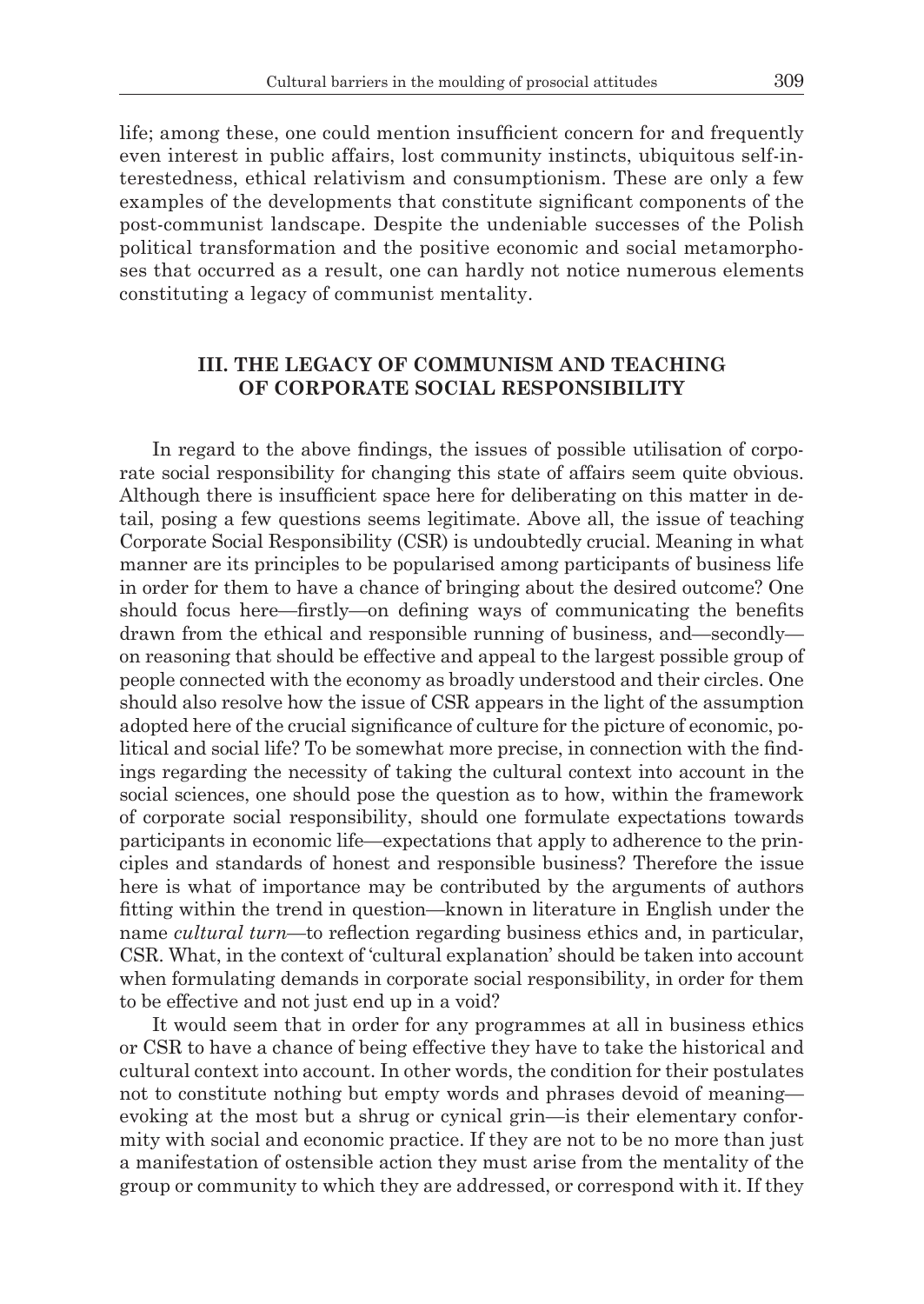life; among these, one could mention insufficient concern for and frequently even interest in public affairs, lost community instincts, ubiquitous self-interestedness, ethical relativism and consumptionism. These are only a few examples of the developments that constitute significant components of the post-communist landscape. Despite the undeniable successes of the Polish political transformation and the positive economic and social metamorphoses that occurred as a result, one can hardly not notice numerous elements constituting a legacy of communist mentality.

# **III. THE LEGACY OF COMMUNISM AND TEACHING OF CORPORATE SOCIAL RESPONSIBILITY**

In regard to the above findings, the issues of possible utilisation of corporate social responsibility for changing this state of affairs seem quite obvious. Although there is insufficient space here for deliberating on this matter in detail, posing a few questions seems legitimate. Above all, the issue of teaching Corporate Social Responsibility (CSR) is undoubtedly crucial. Meaning in what manner are its principles to be popularised among participants of business life in order for them to have a chance of bringing about the desired outcome? One should focus here—firstly—on defining ways of communicating the benefits drawn from the ethical and responsible running of business, and—secondly on reasoning that should be effective and appeal to the largest possible group of people connected with the economy as broadly understood and their circles. One should also resolve how the issue of CSR appears in the light of the assumption adopted here of the crucial significance of culture for the picture of economic, political and social life? To be somewhat more precise, in connection with the findings regarding the necessity of taking the cultural context into account in the social sciences, one should pose the question as to how, within the framework of corporate social responsibility, should one formulate expectations towards participants in economic life—expectations that apply to adherence to the principles and standards of honest and responsible business? Therefore the issue here is what of importance may be contributed by the arguments of authors fitting within the trend in question—known in literature in English under the name *cultural turn*—to reflection regarding business ethics and, in particular, CSR. What, in the context of 'cultural explanation' should be taken into account when formulating demands in corporate social responsibility, in order for them to be effective and not just end up in a void?

It would seem that in order for any programmes at all in business ethics or CSR to have a chance of being effective they have to take the historical and cultural context into account. In other words, the condition for their postulates not to constitute nothing but empty words and phrases devoid of meaning evoking at the most but a shrug or cynical grin—is their elementary conformity with social and economic practice. If they are not to be no more than just a manifestation of ostensible action they must arise from the mentality of the group or community to which they are addressed, or correspond with it. If they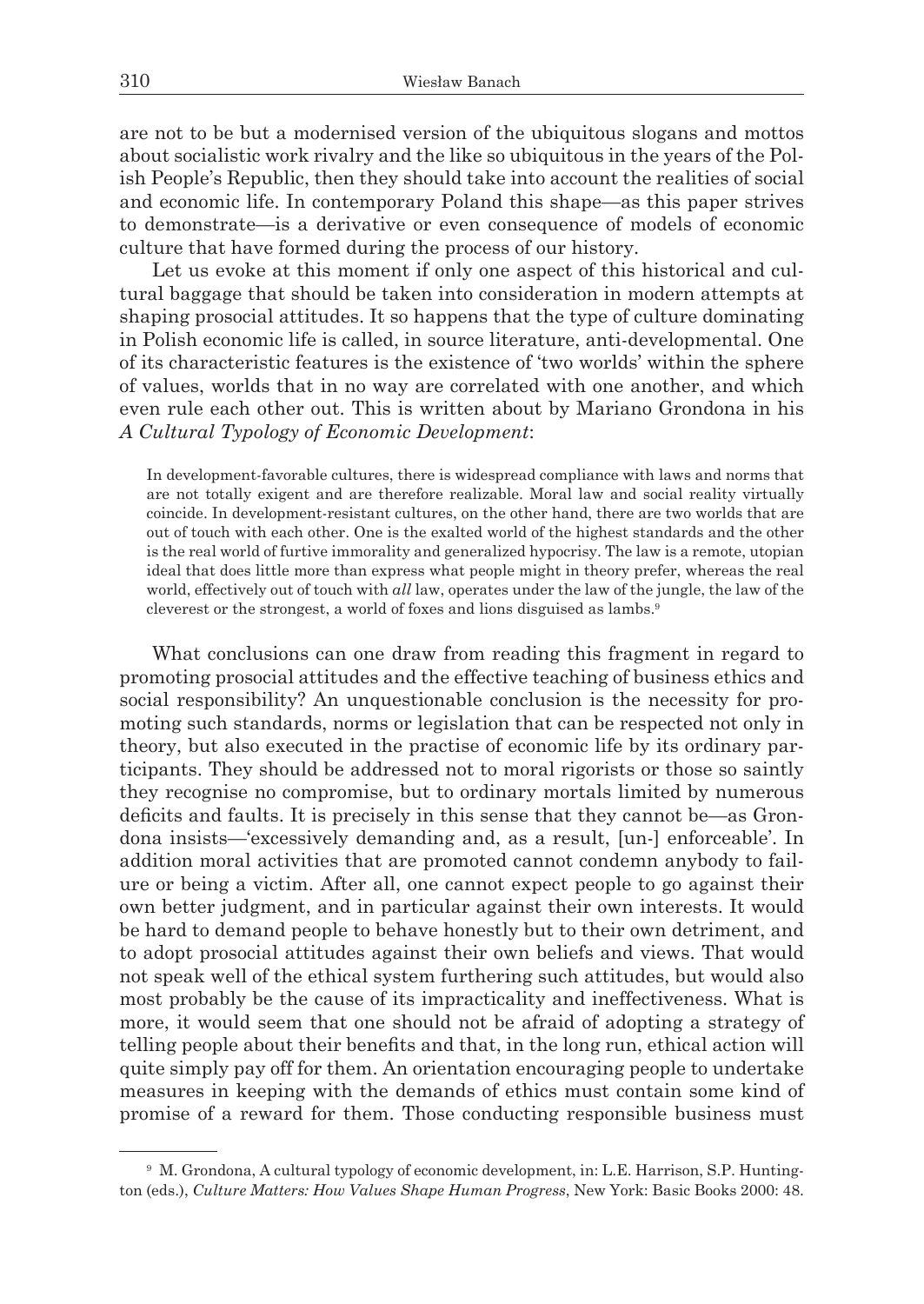are not to be but a modernised version of the ubiquitous slogans and mottos about socialistic work rivalry and the like so ubiquitous in the years of the Polish People's Republic, then they should take into account the realities of social and economic life. In contemporary Poland this shape—as this paper strives to demonstrate—is a derivative or even consequence of models of economic culture that have formed during the process of our history.

Let us evoke at this moment if only one aspect of this historical and cultural baggage that should be taken into consideration in modern attempts at shaping prosocial attitudes. It so happens that the type of culture dominating in Polish economic life is called, in source literature, anti-developmental. One of its characteristic features is the existence of 'two worlds' within the sphere of values, worlds that in no way are correlated with one another, and which even rule each other out. This is written about by Mariano Grondona in his *A Cultural Typology of Economic Development*:

In development-favorable cultures, there is widespread compliance with laws and norms that are not totally exigent and are therefore realizable. Moral law and social reality virtually coincide. In development-resistant cultures, on the other hand, there are two worlds that are out of touch with each other. One is the exalted world of the highest standards and the other is the real world of furtive immorality and generalized hypocrisy. The law is a remote, utopian ideal that does little more than express what people might in theory prefer, whereas the real world, effectively out of touch with *all* law, operates under the law of the jungle, the law of the cleverest or the strongest, a world of foxes and lions disguised as lambs.9

What conclusions can one draw from reading this fragment in regard to promoting prosocial attitudes and the effective teaching of business ethics and social responsibility? An unquestionable conclusion is the necessity for promoting such standards, norms or legislation that can be respected not only in theory, but also executed in the practise of economic life by its ordinary participants. They should be addressed not to moral rigorists or those so saintly they recognise no compromise, but to ordinary mortals limited by numerous deficits and faults. It is precisely in this sense that they cannot be—as Grondona insists—'excessively demanding and, as a result, [un-] enforceable'. In addition moral activities that are promoted cannot condemn anybody to failure or being a victim. After all, one cannot expect people to go against their own better judgment, and in particular against their own interests. It would be hard to demand people to behave honestly but to their own detriment, and to adopt prosocial attitudes against their own beliefs and views. That would not speak well of the ethical system furthering such attitudes, but would also most probably be the cause of its impracticality and ineffectiveness. What is more, it would seem that one should not be afraid of adopting a strategy of telling people about their benefits and that, in the long run, ethical action will quite simply pay off for them. An orientation encouraging people to undertake measures in keeping with the demands of ethics must contain some kind of promise of a reward for them. Those conducting responsible business must

<sup>9</sup> M. Grondona, A cultural typology of economic development, in: L.E. Harrison, S.P. Huntington (eds.), *Culture Matters: How Values Shape Human Progress*, New York: Basic Books 2000: 48.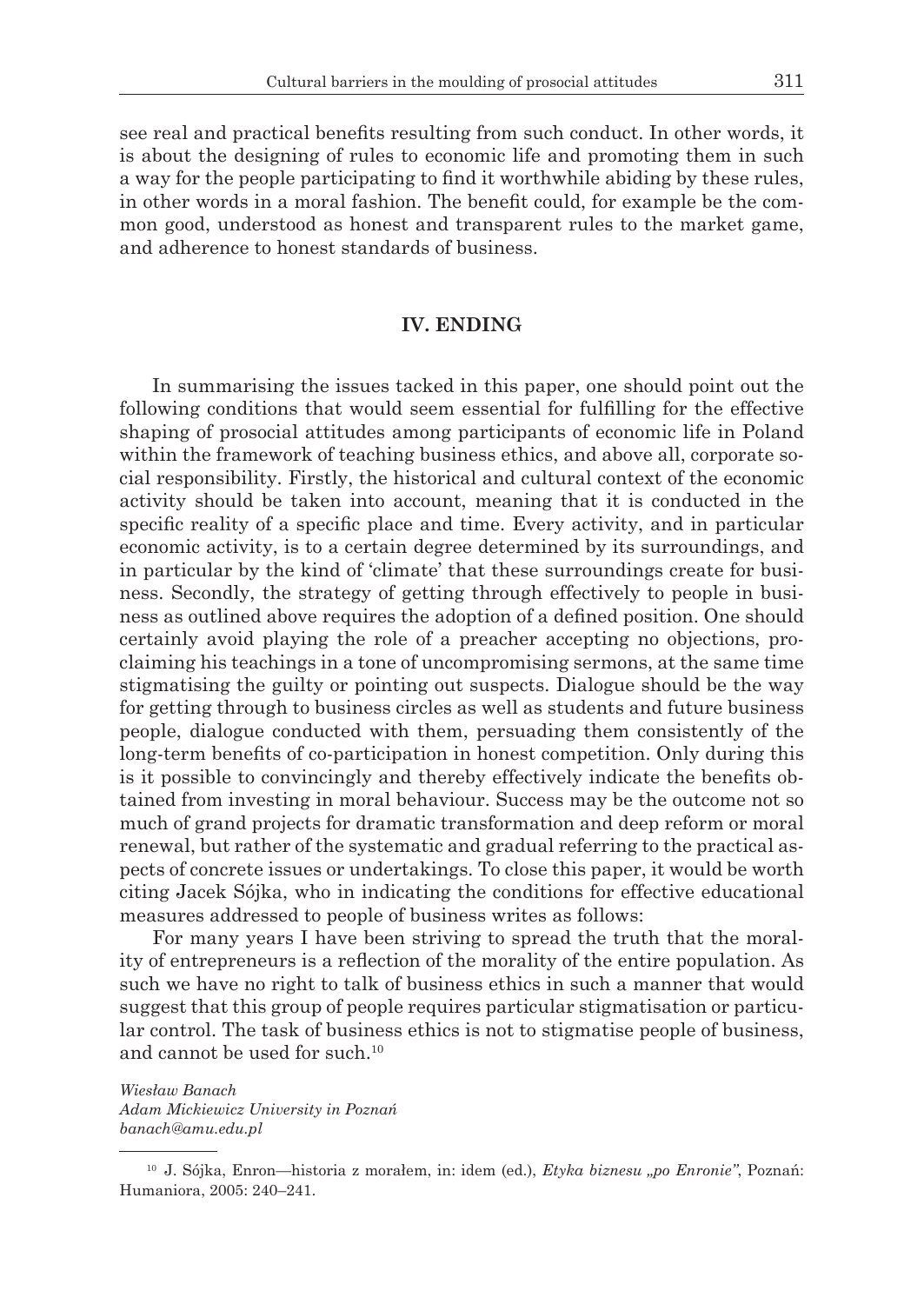see real and practical benefits resulting from such conduct. In other words, it is about the designing of rules to economic life and promoting them in such a way for the people participating to find it worthwhile abiding by these rules, in other words in a moral fashion. The benefit could, for example be the common good, understood as honest and transparent rules to the market game, and adherence to honest standards of business.

# **IV. ENDING**

In summarising the issues tacked in this paper, one should point out the following conditions that would seem essential for fulfilling for the effective shaping of prosocial attitudes among participants of economic life in Poland within the framework of teaching business ethics, and above all, corporate social responsibility. Firstly, the historical and cultural context of the economic activity should be taken into account, meaning that it is conducted in the specific reality of a specific place and time. Every activity, and in particular economic activity, is to a certain degree determined by its surroundings, and in particular by the kind of 'climate' that these surroundings create for business. Secondly, the strategy of getting through effectively to people in business as outlined above requires the adoption of a defined position. One should certainly avoid playing the role of a preacher accepting no objections, proclaiming his teachings in a tone of uncompromising sermons, at the same time stigmatising the guilty or pointing out suspects. Dialogue should be the way for getting through to business circles as well as students and future business people, dialogue conducted with them, persuading them consistently of the long-term benefits of co-participation in honest competition. Only during this is it possible to convincingly and thereby effectively indicate the benefits obtained from investing in moral behaviour. Success may be the outcome not so much of grand projects for dramatic transformation and deep reform or moral renewal, but rather of the systematic and gradual referring to the practical aspects of concrete issues or undertakings. To close this paper, it would be worth citing Jacek Sójka, who in indicating the conditions for effective educational measures addressed to people of business writes as follows:

For many years I have been striving to spread the truth that the morality of entrepreneurs is a reflection of the morality of the entire population. As such we have no right to talk of business ethics in such a manner that would suggest that this group of people requires particular stigmatisation or particular control. The task of business ethics is not to stigmatise people of business, and cannot be used for such.10

*Wiesław Banach Adam Mickiewicz University in Poznań banach@amu.edu.pl*

<sup>10</sup> J. Sójka, Enron—historia z morałem, in: idem (ed.), *Etyka biznesu "po Enronie"*, Poznań: Humaniora, 2005: 240–241.